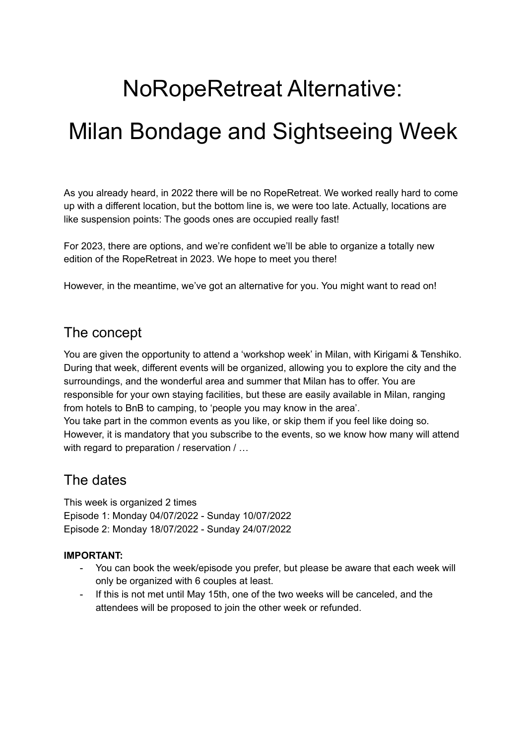# NoRopeRetreat Alternative:

# Milan Bondage and Sightseeing Week

As you already heard, in 2022 there will be no RopeRetreat. We worked really hard to come up with a different location, but the bottom line is, we were too late. Actually, locations are like suspension points: The goods ones are occupied really fast!

For 2023, there are options, and we're confident we'll be able to organize a totally new edition of the RopeRetreat in 2023. We hope to meet you there!

However, in the meantime, we've got an alternative for you. You might want to read on!

## The concept

You are given the opportunity to attend a 'workshop week' in Milan, with Kirigami & Tenshiko. During that week, different events will be organized, allowing you to explore the city and the surroundings, and the wonderful area and summer that Milan has to offer. You are responsible for your own staying facilities, but these are easily available in Milan, ranging from hotels to BnB to camping, to 'people you may know in the area'. You take part in the common events as you like, or skip them if you feel like doing so. However, it is mandatory that you subscribe to the events, so we know how many will attend with regard to preparation / reservation / ...

## The dates

This week is organized 2 times Episode 1: Monday 04/07/2022 - Sunday 10/07/2022 Episode 2: Monday 18/07/2022 - Sunday 24/07/2022

#### **IMPORTANT:**

- You can book the week/episode you prefer, but please be aware that each week will only be organized with 6 couples at least.
- If this is not met until May 15th, one of the two weeks will be canceled, and the attendees will be proposed to join the other week or refunded.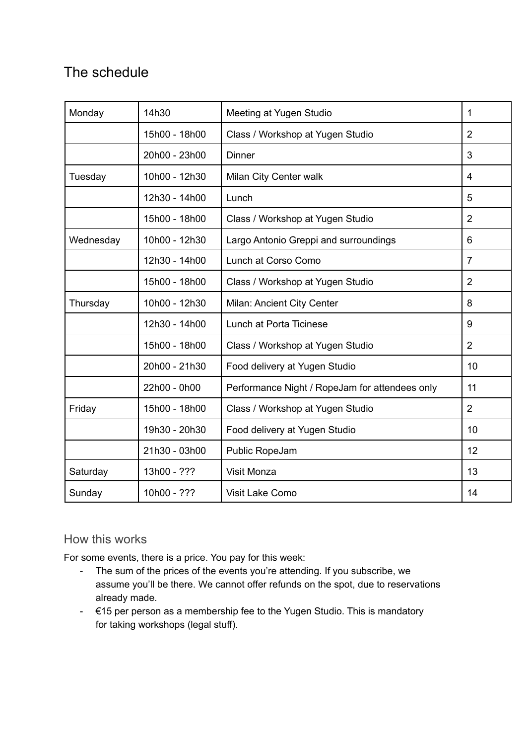## The schedule

| Monday    | 14h30         | Meeting at Yugen Studio                        | $\mathbf{1}$   |
|-----------|---------------|------------------------------------------------|----------------|
|           | 15h00 - 18h00 | Class / Workshop at Yugen Studio               | $\overline{2}$ |
|           | 20h00 - 23h00 | <b>Dinner</b>                                  | 3              |
| Tuesday   | 10h00 - 12h30 | Milan City Center walk                         | $\overline{4}$ |
|           | 12h30 - 14h00 | Lunch                                          | 5              |
|           | 15h00 - 18h00 | Class / Workshop at Yugen Studio               | $\overline{2}$ |
| Wednesday | 10h00 - 12h30 | Largo Antonio Greppi and surroundings          | 6              |
|           | 12h30 - 14h00 | Lunch at Corso Como                            | $\overline{7}$ |
|           | 15h00 - 18h00 | Class / Workshop at Yugen Studio               | $\overline{2}$ |
| Thursday  | 10h00 - 12h30 | Milan: Ancient City Center                     | 8              |
|           | 12h30 - 14h00 | Lunch at Porta Ticinese                        | 9              |
|           | 15h00 - 18h00 | Class / Workshop at Yugen Studio               | $\overline{2}$ |
|           | 20h00 - 21h30 | Food delivery at Yugen Studio                  | 10             |
|           | 22h00 - 0h00  | Performance Night / RopeJam for attendees only | 11             |
| Friday    | 15h00 - 18h00 | Class / Workshop at Yugen Studio               | $\overline{2}$ |
|           | 19h30 - 20h30 | Food delivery at Yugen Studio                  | 10             |
|           | 21h30 - 03h00 | Public RopeJam                                 | 12             |
| Saturday  | 13h00 - ???   | Visit Monza                                    | 13             |
| Sunday    | 10h00 - ???   | Visit Lake Como                                | 14             |

## How this works

For some events, there is a price. You pay for this week:

- The sum of the prices of the events you're attending. If you subscribe, we assume you'll be there. We cannot offer refunds on the spot, due to reservations already made.
- €15 per person as a membership fee to the Yugen Studio. This is mandatory for taking workshops (legal stuff).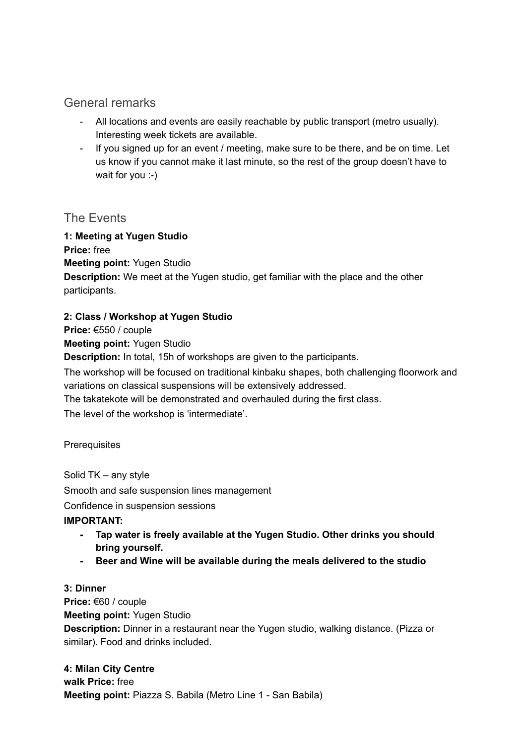### General remarks

- All locations and events are easily reachable by public transport (metro usually). Interesting week tickets are available.
- If you signed up for an event / meeting, make sure to be there, and be on time. Let us know if you cannot make it last minute, so the rest of the group doesn't have to wait for you :-)

#### The Events

#### **1: Meeting at Yugen Studio**

**Price:** free **Meeting point:** Yugen Studio **Description:** We meet at the Yugen studio, get familiar with the place and the other participants.

#### **2: Class / Workshop at Yugen Studio**

**Price:** €550 / couple

**Meeting point:** Yugen Studio

**Description:** In total, 15h of workshops are given to the participants.

The workshop will be focused on traditional kinbaku shapes, both challenging floorwork and variations on classical suspensions will be extensively addressed.

The takatekote will be demonstrated and overhauled during the first class.

The level of the workshop is 'intermediate'.

**Prerequisites** 

Solid TK – any style Smooth and safe suspension lines management

Confidence in suspension sessions

#### **IMPORTANT:**

- **- Tap water is freely available at the Yugen Studio. Other drinks you should bring yourself.**
- **- Beer and Wine will be available during the meals delivered to the studio**

#### **3: Dinner**

**Price:** €60 / couple **Meeting point:** Yugen Studio **Description:** Dinner in a restaurant near the Yugen studio, walking distance. (Pizza or similar). Food and drinks included.

**4: Milan City Centre walk Price:** free **Meeting point:** Piazza S. Babila (Metro Line 1 - San Babila)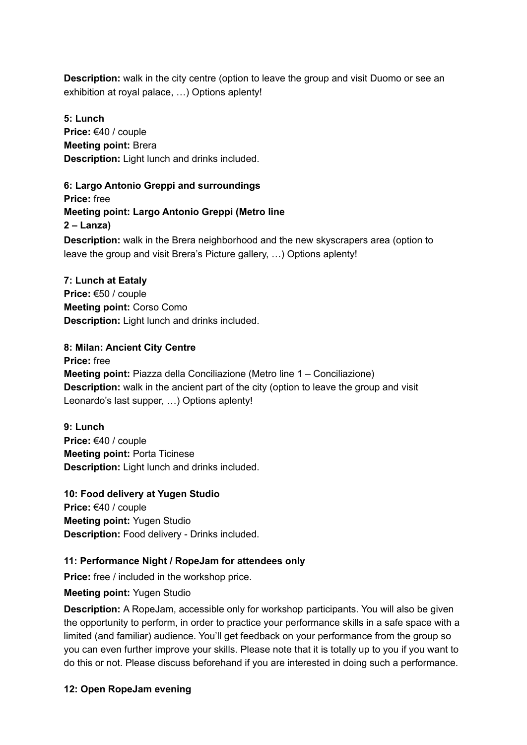**Description:** walk in the city centre (option to leave the group and visit Duomo or see an exhibition at royal palace, …) Options aplenty!

**5: Lunch Price:** €40 / couple **Meeting point:** Brera **Description:** Light lunch and drinks included.

**6: Largo Antonio Greppi and surroundings Price:** free **Meeting point: Largo Antonio Greppi (Metro line 2 – Lanza) Description:** walk in the Brera neighborhood and the new skyscrapers area (option to leave the group and visit Brera's Picture gallery, …) Options aplenty!

**7: Lunch at Eataly Price:** €50 / couple **Meeting point:** Corso Como **Description:** Light lunch and drinks included.

#### **8: Milan: Ancient City Centre**

**Price:** free **Meeting point:** Piazza della Conciliazione (Metro line 1 – Conciliazione) **Description:** walk in the ancient part of the city (option to leave the group and visit Leonardo's last supper, …) Options aplenty!

**9: Lunch Price:** €40 / couple **Meeting point:** Porta Ticinese **Description:** Light lunch and drinks included.

**10: Food delivery at Yugen Studio Price:** €40 / couple **Meeting point:** Yugen Studio **Description:** Food delivery - Drinks included.

#### **11: Performance Night / RopeJam for attendees only**

**Price:** free / included in the workshop price.

#### **Meeting point:** Yugen Studio

**Description:** A RopeJam, accessible only for workshop participants. You will also be given the opportunity to perform, in order to practice your performance skills in a safe space with a limited (and familiar) audience. You'll get feedback on your performance from the group so you can even further improve your skills. Please note that it is totally up to you if you want to do this or not. Please discuss beforehand if you are interested in doing such a performance.

#### **12: Open RopeJam evening**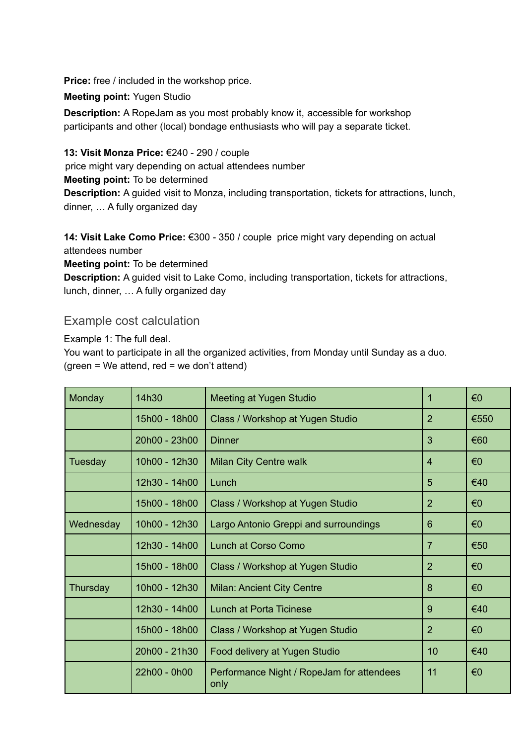**Price:** free / included in the workshop price.

**Meeting point:** Yugen Studio

**Description:** A RopeJam as you most probably know it, accessible for workshop participants and other (local) bondage enthusiasts who will pay a separate ticket.

**13: Visit Monza Price:** €240 - 290 / couple

price might vary depending on actual attendees number **Meeting point:** To be determined **Description:** A guided visit to Monza, including transportation, tickets for attractions, lunch,

dinner, … A fully organized day

**14: Visit Lake Como Price:** €300 - 350 / couple price might vary depending on actual attendees number

**Meeting point:** To be determined

**Description:** A guided visit to Lake Como, including transportation, tickets for attractions, lunch, dinner, … A fully organized day

### Example cost calculation

Example 1: The full deal.

You want to participate in all the organized activities, from Monday until Sunday as a duo.  $(green = We attend, red = we don't attend)$ 

| Monday    | 14h30         | Meeting at Yugen Studio                           |                | €0                      |
|-----------|---------------|---------------------------------------------------|----------------|-------------------------|
|           | 15h00 - 18h00 | Class / Workshop at Yugen Studio                  | $\overline{2}$ | €550                    |
|           | 20h00 - 23h00 | <b>Dinner</b>                                     | 3              | €60                     |
| Tuesday   | 10h00 - 12h30 | Milan City Centre walk                            | 4              | $\epsilon$ <sup>0</sup> |
|           | 12h30 - 14h00 | Lunch                                             | 5              | €40                     |
|           | 15h00 - 18h00 | Class / Workshop at Yugen Studio                  | $\overline{2}$ | €0                      |
| Wednesday | 10h00 - 12h30 | Largo Antonio Greppi and surroundings             | 6              | $\epsilon$ <sup>0</sup> |
|           | 12h30 - 14h00 | Lunch at Corso Como                               | $\overline{7}$ | €50                     |
|           | 15h00 - 18h00 | Class / Workshop at Yugen Studio                  | $\overline{2}$ | €0                      |
| Thursday  | 10h00 - 12h30 | <b>Milan: Ancient City Centre</b>                 | 8              | €0                      |
|           | 12h30 - 14h00 | <b>Lunch at Porta Ticinese</b>                    | 9              | €40                     |
|           | 15h00 - 18h00 | Class / Workshop at Yugen Studio                  | $\overline{2}$ | $\epsilon$ <sup>0</sup> |
|           | 20h00 - 21h30 | Food delivery at Yugen Studio                     | 10             | €40                     |
|           | 22h00 - 0h00  | Performance Night / RopeJam for attendees<br>only | 11             | €0                      |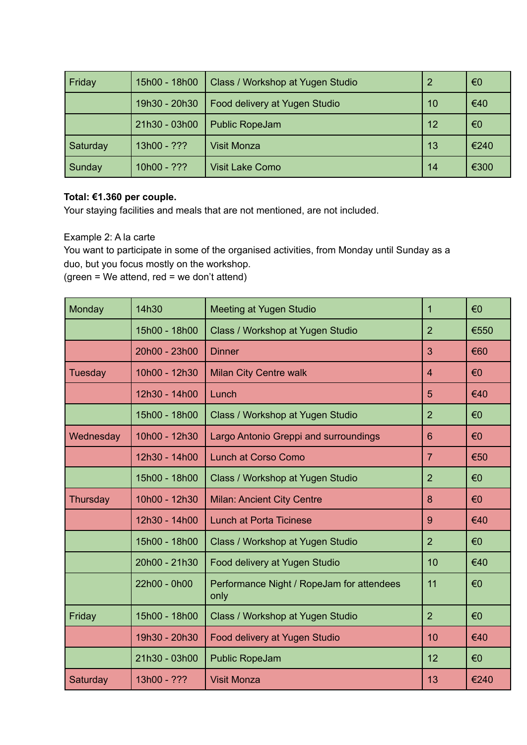| Friday   | 15h00 - 18h00 | Class / Workshop at Yugen Studio |    | $\epsilon$ <sup>0</sup> |
|----------|---------------|----------------------------------|----|-------------------------|
|          | 19h30 - 20h30 | Food delivery at Yugen Studio    | 10 | €40                     |
|          | 21h30 - 03h00 | <b>Public RopeJam</b>            | 12 | €0                      |
| Saturday | 13h00 - ???   | <b>Visit Monza</b>               | 13 | €240                    |
| Sunday   | $10h00 - ???$ | <b>Visit Lake Como</b>           | 14 | €300                    |

#### **Total: €1.360 per couple.**

Your staying facilities and meals that are not mentioned, are not included.

#### Example 2: A la carte

You want to participate in some of the organised activities, from Monday until Sunday as a duo, but you focus mostly on the workshop.

 $(green = We attend, red = we don't attend)$ 

| Monday    | 14h30         | <b>Meeting at Yugen Studio</b>                    | 1              | €0   |
|-----------|---------------|---------------------------------------------------|----------------|------|
|           | 15h00 - 18h00 | Class / Workshop at Yugen Studio                  | $\overline{2}$ | €550 |
|           | 20h00 - 23h00 | <b>Dinner</b>                                     | 3              | €60  |
| Tuesday   | 10h00 - 12h30 | <b>Milan City Centre walk</b>                     | $\overline{4}$ | €0   |
|           | 12h30 - 14h00 | Lunch                                             | 5              | €40  |
|           | 15h00 - 18h00 | Class / Workshop at Yugen Studio                  | $\overline{2}$ | €0   |
| Wednesday | 10h00 - 12h30 | Largo Antonio Greppi and surroundings             | 6              | €0   |
|           | 12h30 - 14h00 | <b>Lunch at Corso Como</b>                        | $\overline{7}$ | €50  |
|           | 15h00 - 18h00 | Class / Workshop at Yugen Studio                  | $\overline{2}$ | €0   |
| Thursday  | 10h00 - 12h30 | <b>Milan: Ancient City Centre</b>                 | 8              | €0   |
|           | 12h30 - 14h00 | <b>Lunch at Porta Ticinese</b>                    | 9              | €40  |
|           | 15h00 - 18h00 | Class / Workshop at Yugen Studio                  | $\overline{2}$ | €0   |
|           | 20h00 - 21h30 | Food delivery at Yugen Studio                     | 10             | €40  |
|           | 22h00 - 0h00  | Performance Night / RopeJam for attendees<br>only | 11             | €0   |
| Friday    | 15h00 - 18h00 | Class / Workshop at Yugen Studio                  | $\overline{2}$ | €0   |
|           | 19h30 - 20h30 | Food delivery at Yugen Studio                     | 10             | €40  |
|           | 21h30 - 03h00 | <b>Public RopeJam</b>                             | 12             | €0   |
| Saturday  | 13h00 - ???   | <b>Visit Monza</b>                                | 13             | €240 |